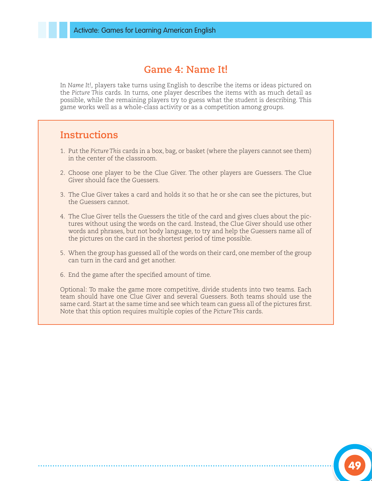## **Game 4: Name It!**

In *Name It!,* players take turns using English to describe the items or ideas pictured on the *Picture This* cards. In turns, one player describes the items with as much detail as possible, while the remaining players try to guess what the student is describing. This game works well as a whole-class activity or as a competition among groups.

## **Instructions**

- 1. Put the *Picture This* cards in a box, bag, or basket (where the players cannot see them) in the center of the classroom.
- 2. Choose one player to be the Clue Giver. The other players are Guessers. The Clue Giver should face the Guessers.
- 3. The Clue Giver takes a card and holds it so that he or she can see the pictures, but the Guessers cannot.
- 4. The Clue Giver tells the Guessers the title of the card and gives clues about the pictures without using the words on the card. Instead, the Clue Giver should use other words and phrases, but not body language, to try and help the Guessers name all of the pictures on the card in the shortest period of time possible.
- 5. When the group has guessed all of the words on their card, one member of the group can turn in the card and get another.
- 6. End the game after the specified amount of time.

Optional: To make the game more competitive, divide students into two teams. Each team should have one Clue Giver and several Guessers. Both teams should use the same card. Start at the same time and see which team can guess all of the pictures first. Note that this option requires multiple copies of the *Picture This* cards.